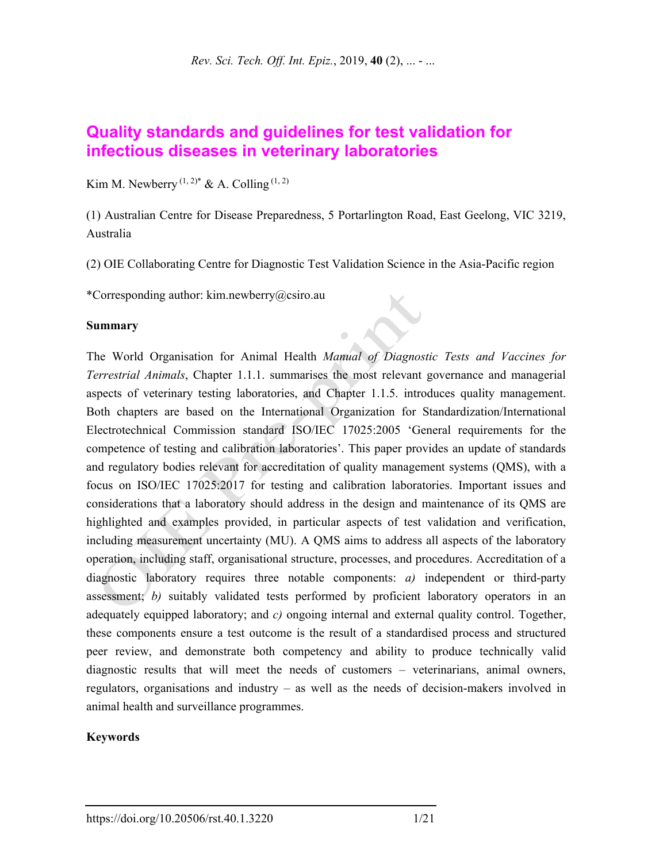# **Quality standards and guidelines for test validation for infectious diseases in veterinary laboratories**

Kim M. Newberry  $(1, 2)^*$  & A. Colling  $(1, 2)$ 

(1) Australian Centre for Disease Preparedness, 5 Portarlington Road, East Geelong, VIC 3219, Australia

(2) OIE Collaborating Centre for Diagnostic Test Validation Science in the Asia-Pacific region

\*Corresponding author: kim.newberry@csiro.au

### **Summary**

The World Organisation for Animal Health *Manual of Diagnostic Tests and Vaccines for Terrestrial Animals*, Chapter 1.1.1. summarises the most relevant governance and managerial aspects of veterinary testing laboratories, and Chapter 1.1.5. introduces quality management. Both chapters are based on the International Organization for Standardization/International Electrotechnical Commission standard ISO/IEC 17025:2005 'General requirements for the competence of testing and calibration laboratories'. This paper provides an update of standards and regulatory bodies relevant for accreditation of quality management systems (QMS), with a focus on ISO/IEC 17025:2017 for testing and calibration laboratories. Important issues and considerations that a laboratory should address in the design and maintenance of its QMS are highlighted and examples provided, in particular aspects of test validation and verification, including measurement uncertainty (MU). A QMS aims to address all aspects of the laboratory operation, including staff, organisational structure, processes, and procedures. Accreditation of a diagnostic laboratory requires three notable components: *a)* independent or third-party assessment; *b)* suitably validated tests performed by proficient laboratory operators in an adequately equipped laboratory; and *c)* ongoing internal and external quality control. Together, these components ensure a test outcome is the result of a standardised process and structured peer review, and demonstrate both competency and ability to produce technically valid diagnostic results that will meet the needs of customers – veterinarians, animal owners, regulators, organisations and industry – as well as the needs of decision-makers involved in animal health and surveillance programmes.

### **Keywords**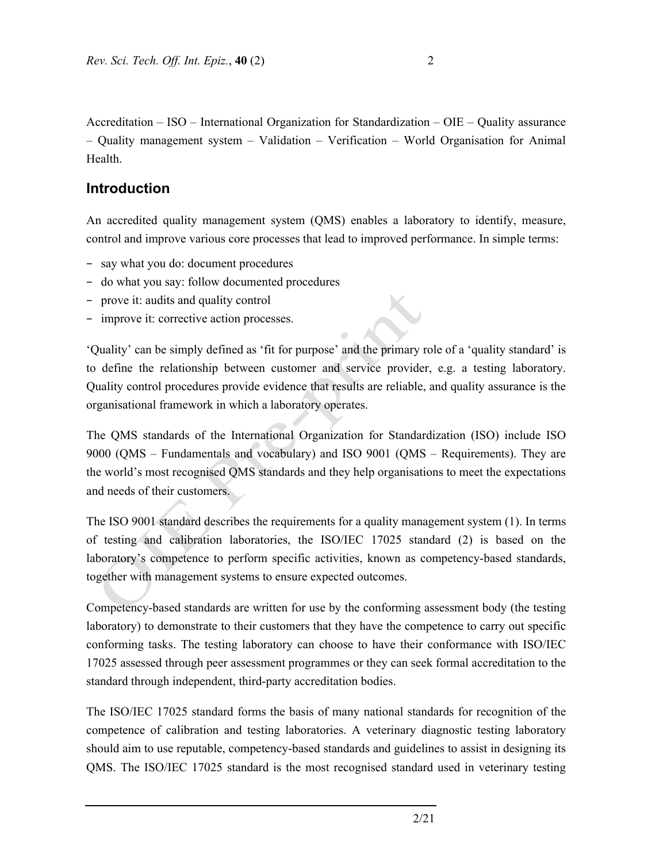Accreditation – ISO – International Organization for Standardization – OIE – Quality assurance – Quality management system – Validation – Verification – World Organisation for Animal Health.

# **Introduction**

An accredited quality management system (QMS) enables a laboratory to identify, measure, control and improve various core processes that lead to improved performance. In simple terms:

- − say what you do: document procedures
- − do what you say: follow documented procedures
- − prove it: audits and quality control
- − improve it: corrective action processes.

'Quality' can be simply defined as 'fit for purpose' and the primary role of a 'quality standard' is to define the relationship between customer and service provider, e.g. a testing laboratory. Quality control procedures provide evidence that results are reliable, and quality assurance is the organisational framework in which a laboratory operates.

The QMS standards of the International Organization for Standardization (ISO) include ISO 9000 (QMS – Fundamentals and vocabulary) and ISO 9001 (QMS – Requirements). They are the world's most recognised QMS standards and they help organisations to meet the expectations and needs of their customers.

The ISO 9001 standard describes the requirements for a quality management system (1). In terms of testing and calibration laboratories, the ISO/IEC 17025 standard (2) is based on the laboratory's competence to perform specific activities, known as competency-based standards, together with management systems to ensure expected outcomes.

Competency-based standards are written for use by the conforming assessment body (the testing laboratory) to demonstrate to their customers that they have the competence to carry out specific conforming tasks. The testing laboratory can choose to have their conformance with ISO/IEC 17025 assessed through peer assessment programmes or they can seek formal accreditation to the standard through independent, third-party accreditation bodies.

The ISO/IEC 17025 standard forms the basis of many national standards for recognition of the competence of calibration and testing laboratories. A veterinary diagnostic testing laboratory should aim to use reputable, competency-based standards and guidelines to assist in designing its QMS. The ISO/IEC 17025 standard is the most recognised standard used in veterinary testing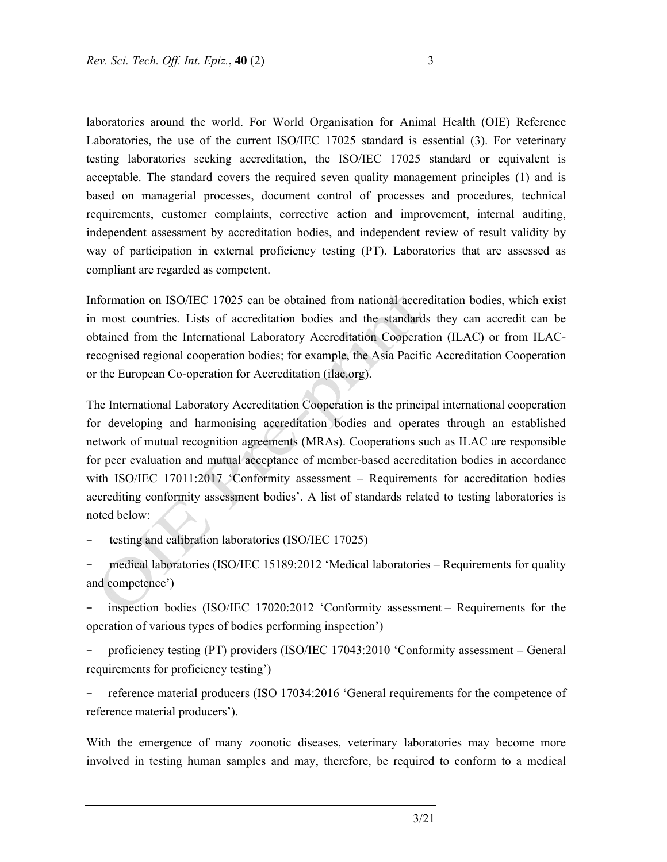laboratories around the world. For World Organisation for Animal Health (OIE) Reference Laboratories, the use of the current ISO/IEC 17025 standard is essential (3). For veterinary testing laboratories seeking accreditation, the ISO/IEC 17025 standard or equivalent is acceptable. The standard covers the required seven quality management principles (1) and is based on managerial processes, document control of processes and procedures, technical requirements, customer complaints, corrective action and improvement, internal auditing, independent assessment by accreditation bodies, and independent review of result validity by way of participation in external proficiency testing (PT). Laboratories that are assessed as compliant are regarded as competent.

Information on ISO/IEC 17025 can be obtained from national accreditation bodies, which exist in most countries. Lists of accreditation bodies and the standards they can accredit can be obtained from the International Laboratory Accreditation Cooperation (ILAC) or from ILACrecognised regional cooperation bodies; for example, the Asia Pacific Accreditation Cooperation or the European Co-operation for Accreditation (ilac.org).

The International Laboratory Accreditation Cooperation is the principal international cooperation for developing and harmonising accreditation bodies and operates through an established network of mutual recognition agreements (MRAs). Cooperations such as ILAC are responsible for peer evaluation and mutual acceptance of member-based accreditation bodies in accordance with ISO/IEC 17011:2017 'Conformity assessment – Requirements for accreditation bodies accrediting conformity assessment bodies'. A list of standards related to testing laboratories is noted below:

− testing and calibration laboratories (ISO/IEC 17025)

− medical laboratories (ISO/IEC 15189:2012 'Medical laboratories – Requirements for quality and competence')

inspection bodies (ISO/IEC 17020:2012 'Conformity assessment – Requirements for the operation of various types of bodies performing inspection')

− proficiency testing (PT) providers (ISO/IEC 17043:2010 'Conformity assessment – General requirements for proficiency testing')

− reference material producers (ISO 17034:2016 'General requirements for the competence of reference material producers').

With the emergence of many zoonotic diseases, veterinary laboratories may become more involved in testing human samples and may, therefore, be required to conform to a medical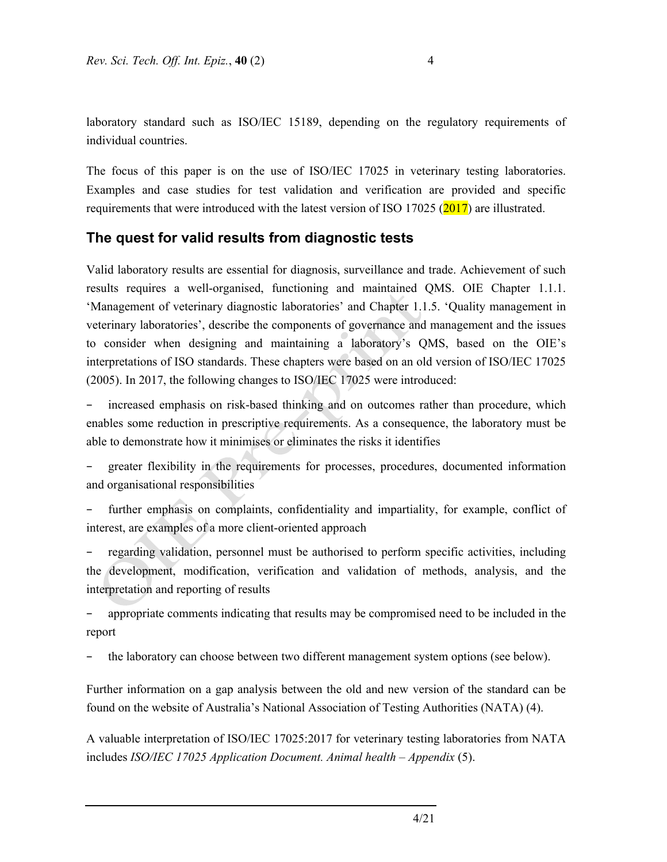laboratory standard such as ISO/IEC 15189, depending on the regulatory requirements of individual countries.

The focus of this paper is on the use of ISO/IEC 17025 in veterinary testing laboratories. Examples and case studies for test validation and verification are provided and specific requirements that were introduced with the latest version of ISO 17025  $(2017)$  are illustrated.

# **The quest for valid results from diagnostic tests**

Valid laboratory results are essential for diagnosis, surveillance and trade. Achievement of such results requires a well-organised, functioning and maintained QMS. OIE Chapter 1.1.1. 'Management of veterinary diagnostic laboratories' and Chapter 1.1.5. 'Quality management in veterinary laboratories', describe the components of governance and management and the issues to consider when designing and maintaining a laboratory's QMS, based on the OIE's interpretations of ISO standards. These chapters were based on an old version of ISO/IEC 17025 (2005). In 2017, the following changes to ISO/IEC 17025 were introduced:

increased emphasis on risk-based thinking and on outcomes rather than procedure, which enables some reduction in prescriptive requirements. As a consequence, the laboratory must be able to demonstrate how it minimises or eliminates the risks it identifies

greater flexibility in the requirements for processes, procedures, documented information and organisational responsibilities

further emphasis on complaints, confidentiality and impartiality, for example, conflict of interest, are examples of a more client-oriented approach

− regarding validation, personnel must be authorised to perform specific activities, including the development, modification, verification and validation of methods, analysis, and the interpretation and reporting of results

appropriate comments indicating that results may be compromised need to be included in the report

the laboratory can choose between two different management system options (see below).

Further information on a gap analysis between the old and new version of the standard can be found on the website of Australia's National Association of Testing Authorities (NATA) (4).

A valuable interpretation of ISO/IEC 17025:2017 for veterinary testing laboratories from NATA includes *ISO/IEC 17025 Application Document. Animal health – Appendix* (5).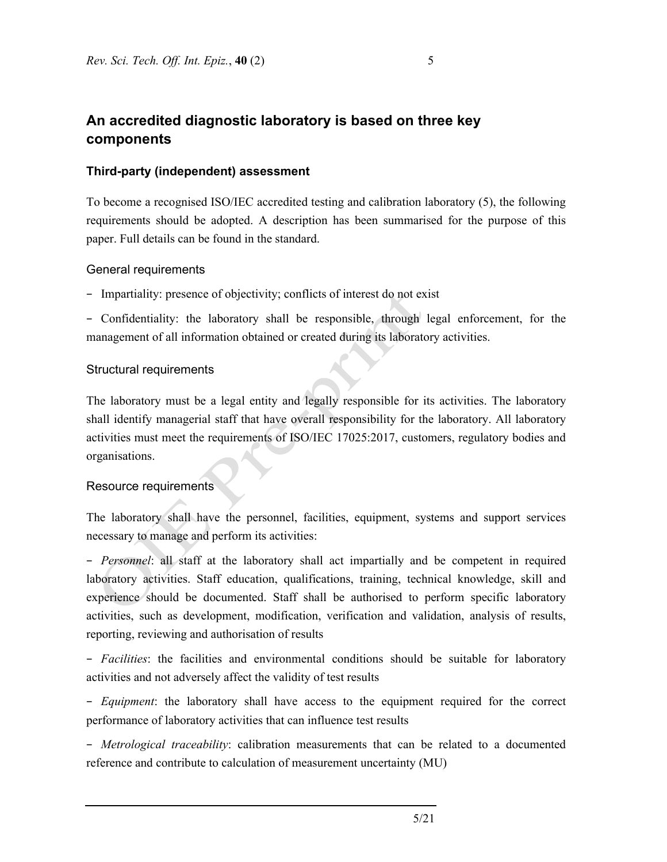# **An accredited diagnostic laboratory is based on three key components**

## **Third-party (independent) assessment**

To become a recognised ISO/IEC accredited testing and calibration laboratory (5), the following requirements should be adopted. A description has been summarised for the purpose of this paper. Full details can be found in the standard.

## General requirements

− Impartiality: presence of objectivity; conflicts of interest do not exist

− Confidentiality: the laboratory shall be responsible, through legal enforcement, for the management of all information obtained or created during its laboratory activities.

### Structural requirements

The laboratory must be a legal entity and legally responsible for its activities. The laboratory shall identify managerial staff that have overall responsibility for the laboratory. All laboratory activities must meet the requirements of ISO/IEC 17025:2017, customers, regulatory bodies and organisations.

## Resource requirements

The laboratory shall have the personnel, facilities, equipment, systems and support services necessary to manage and perform its activities:

− *Personnel*: all staff at the laboratory shall act impartially and be competent in required laboratory activities. Staff education, qualifications, training, technical knowledge, skill and experience should be documented. Staff shall be authorised to perform specific laboratory activities, such as development, modification, verification and validation, analysis of results, reporting, reviewing and authorisation of results

− *Facilities*: the facilities and environmental conditions should be suitable for laboratory activities and not adversely affect the validity of test results

− *Equipment*: the laboratory shall have access to the equipment required for the correct performance of laboratory activities that can influence test results

− *Metrological traceability*: calibration measurements that can be related to a documented reference and contribute to calculation of measurement uncertainty (MU)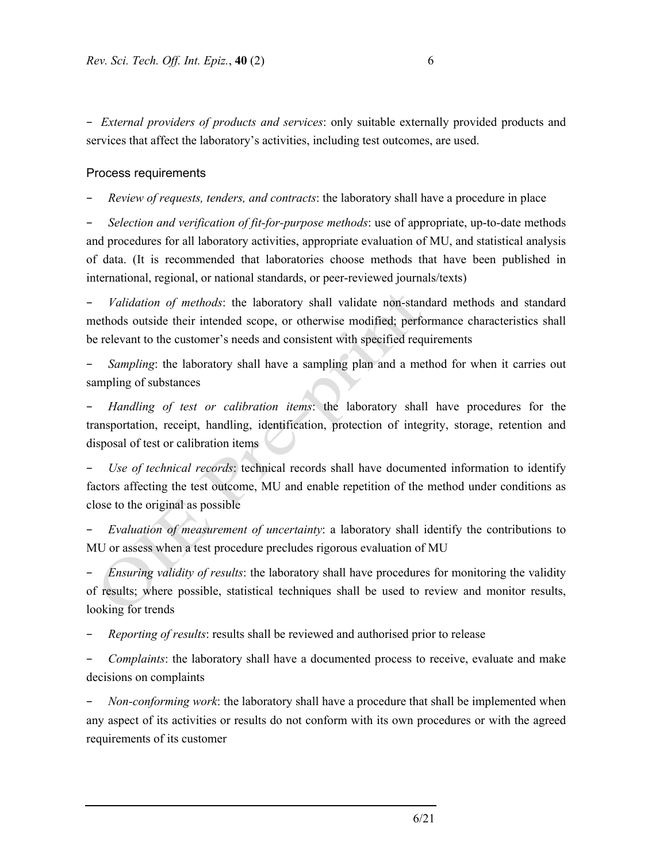− *External providers of products and services*: only suitable externally provided products and services that affect the laboratory's activities, including test outcomes, are used.

## Process requirements

*Review of requests, tenders, and contracts: the laboratory shall have a procedure in place* 

− *Selection and verification of fit-for-purpose methods*: use of appropriate, up-to-date methods and procedures for all laboratory activities, appropriate evaluation of MU, and statistical analysis of data. (It is recommended that laboratories choose methods that have been published in international, regional, or national standards, or peer-reviewed journals/texts)

− *Validation of methods*: the laboratory shall validate non-standard methods and standard methods outside their intended scope, or otherwise modified; performance characteristics shall be relevant to the customer's needs and consistent with specified requirements

*Sampling*: the laboratory shall have a sampling plan and a method for when it carries out sampling of substances

− *Handling of test or calibration items*: the laboratory shall have procedures for the transportation, receipt, handling, identification, protection of integrity, storage, retention and disposal of test or calibration items

*Use of technical records*: technical records shall have documented information to identify factors affecting the test outcome, MU and enable repetition of the method under conditions as close to the original as possible

− *Evaluation of measurement of uncertainty*: a laboratory shall identify the contributions to MU or assess when a test procedure precludes rigorous evaluation of MU

*Ensuring validity of results*: the laboratory shall have procedures for monitoring the validity of results; where possible, statistical techniques shall be used to review and monitor results, looking for trends

*Reporting of results*: results shall be reviewed and authorised prior to release

*Complaints*: the laboratory shall have a documented process to receive, evaluate and make decisions on complaints

*Non-conforming work*: the laboratory shall have a procedure that shall be implemented when any aspect of its activities or results do not conform with its own procedures or with the agreed requirements of its customer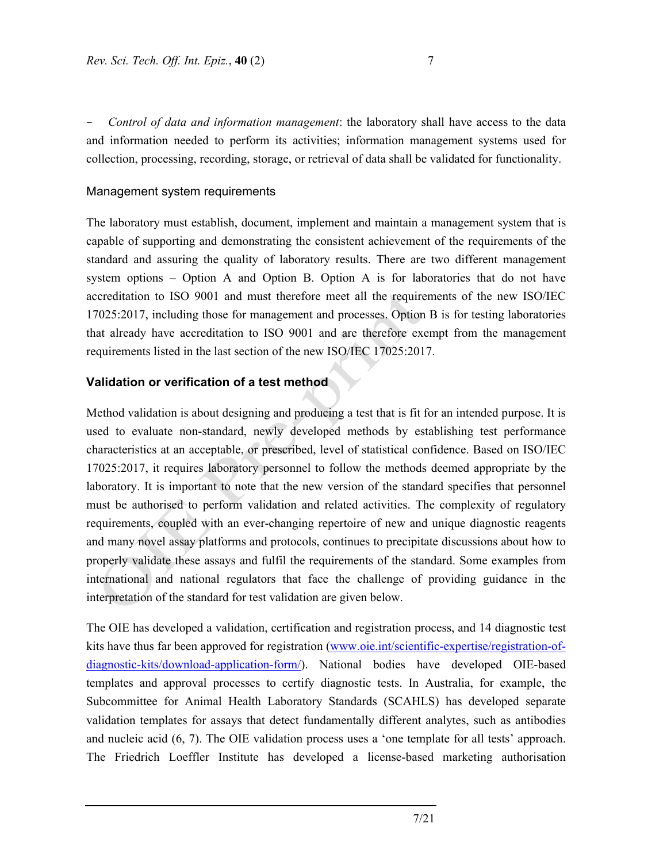*Control of data and information management*: the laboratory shall have access to the data and information needed to perform its activities; information management systems used for collection, processing, recording, storage, or retrieval of data shall be validated for functionality.

### Management system requirements

The laboratory must establish, document, implement and maintain a management system that is capable of supporting and demonstrating the consistent achievement of the requirements of the standard and assuring the quality of laboratory results. There are two different management system options – Option A and Option B. Option A is for laboratories that do not have accreditation to ISO 9001 and must therefore meet all the requirements of the new ISO/IEC 17025:2017, including those for management and processes. Option B is for testing laboratories that already have accreditation to ISO 9001 and are therefore exempt from the management requirements listed in the last section of the new ISO/IEC 17025:2017.

### **Validation or verification of a test method**

Method validation is about designing and producing a test that is fit for an intended purpose. It is used to evaluate non-standard, newly developed methods by establishing test performance characteristics at an acceptable, or prescribed, level of statistical confidence. Based on ISO/IEC 17025:2017, it requires laboratory personnel to follow the methods deemed appropriate by the laboratory. It is important to note that the new version of the standard specifies that personnel must be authorised to perform validation and related activities. The complexity of regulatory requirements, coupled with an ever-changing repertoire of new and unique diagnostic reagents and many novel assay platforms and protocols, continues to precipitate discussions about how to properly validate these assays and fulfil the requirements of the standard. Some examples from international and national regulators that face the challenge of providing guidance in the interpretation of the standard for test validation are given below.

The OIE has developed a validation, certification and registration process, and 14 diagnostic test kits have thus far been approved for registration (www.oie.int/scientific-expertise/registration-ofdiagnostic-kits/download-application-form/). National bodies have developed OIE-based templates and approval processes to certify diagnostic tests. In Australia, for example, the Subcommittee for Animal Health Laboratory Standards (SCAHLS) has developed separate validation templates for assays that detect fundamentally different analytes, such as antibodies and nucleic acid (6, 7). The OIE validation process uses a 'one template for all tests' approach. The Friedrich Loeffler Institute has developed a license-based marketing authorisation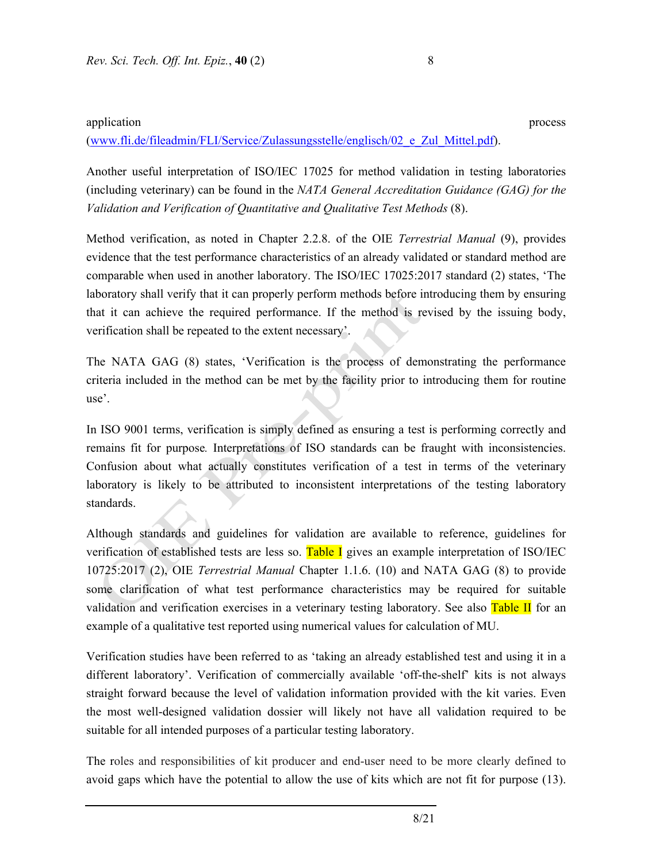## application **process** (www.fli.de/fileadmin/FLI/Service/Zulassungsstelle/englisch/02\_e\_Zul\_Mittel.pdf).

Another useful interpretation of ISO/IEC 17025 for method validation in testing laboratories (including veterinary) can be found in the *NATA General Accreditation Guidance (GAG) for the Validation and Verification of Quantitative and Qualitative Test Methods* (8).

Method verification, as noted in Chapter 2.2.8. of the OIE *Terrestrial Manual* (9), provides evidence that the test performance characteristics of an already validated or standard method are comparable when used in another laboratory. The ISO/IEC 17025:2017 standard (2) states, 'The laboratory shall verify that it can properly perform methods before introducing them by ensuring that it can achieve the required performance. If the method is revised by the issuing body, verification shall be repeated to the extent necessary'.

The NATA GAG (8) states, 'Verification is the process of demonstrating the performance criteria included in the method can be met by the facility prior to introducing them for routine use'.

In ISO 9001 terms, verification is simply defined as ensuring a test is performing correctly and remains fit for purpose*.* Interpretations of ISO standards can be fraught with inconsistencies. Confusion about what actually constitutes verification of a test in terms of the veterinary laboratory is likely to be attributed to inconsistent interpretations of the testing laboratory standards.

Although standards and guidelines for validation are available to reference, guidelines for verification of established tests are less so. Table I gives an example interpretation of ISO/IEC 10725:2017 (2), OIE *Terrestrial Manual* Chapter 1.1.6. (10) and NATA GAG (8) to provide some clarification of what test performance characteristics may be required for suitable validation and verification exercises in a veterinary testing laboratory. See also Table II for an example of a qualitative test reported using numerical values for calculation of MU.

Verification studies have been referred to as 'taking an already established test and using it in a different laboratory'. Verification of commercially available 'off-the-shelf' kits is not always straight forward because the level of validation information provided with the kit varies. Even the most well-designed validation dossier will likely not have all validation required to be suitable for all intended purposes of a particular testing laboratory.

The roles and responsibilities of kit producer and end-user need to be more clearly defined to avoid gaps which have the potential to allow the use of kits which are not fit for purpose (13).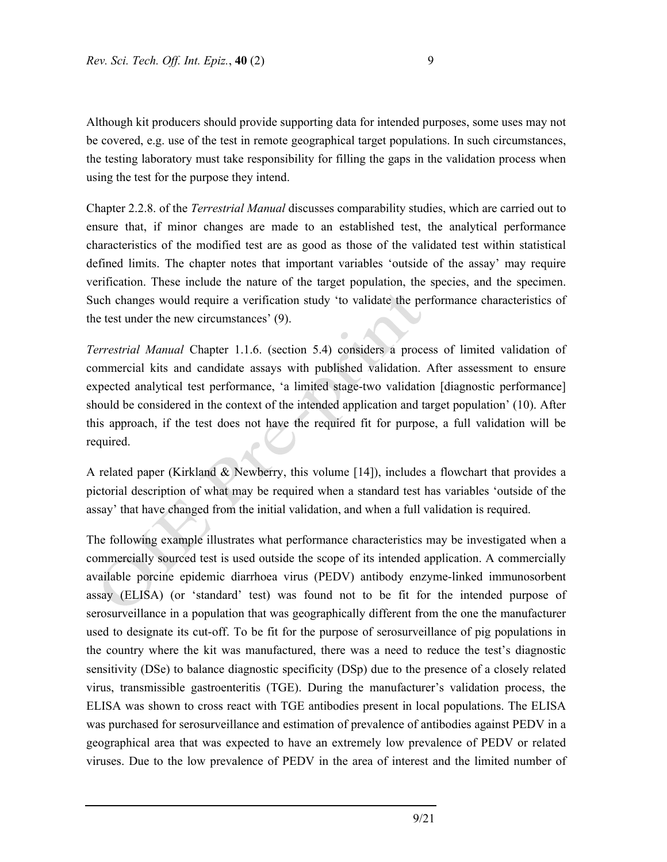Although kit producers should provide supporting data for intended purposes, some uses may not be covered, e.g. use of the test in remote geographical target populations. In such circumstances, the testing laboratory must take responsibility for filling the gaps in the validation process when using the test for the purpose they intend.

Chapter 2.2.8. of the *Terrestrial Manual* discusses comparability studies, which are carried out to ensure that, if minor changes are made to an established test, the analytical performance characteristics of the modified test are as good as those of the validated test within statistical defined limits. The chapter notes that important variables 'outside of the assay' may require verification. These include the nature of the target population, the species, and the specimen. Such changes would require a verification study 'to validate the performance characteristics of the test under the new circumstances' (9).

*Terrestrial Manual* Chapter 1.1.6. (section 5.4) considers a process of limited validation of commercial kits and candidate assays with published validation. After assessment to ensure expected analytical test performance, 'a limited stage-two validation [diagnostic performance] should be considered in the context of the intended application and target population' (10). After this approach, if the test does not have the required fit for purpose, a full validation will be required.

A related paper (Kirkland & Newberry, this volume [14]), includes a flowchart that provides a pictorial description of what may be required when a standard test has variables 'outside of the assay' that have changed from the initial validation, and when a full validation is required.

The following example illustrates what performance characteristics may be investigated when a commercially sourced test is used outside the scope of its intended application. A commercially available porcine epidemic diarrhoea virus (PEDV) antibody enzyme-linked immunosorbent assay (ELISA) (or 'standard' test) was found not to be fit for the intended purpose of serosurveillance in a population that was geographically different from the one the manufacturer used to designate its cut-off. To be fit for the purpose of serosurveillance of pig populations in the country where the kit was manufactured, there was a need to reduce the test's diagnostic sensitivity (DSe) to balance diagnostic specificity (DSp) due to the presence of a closely related virus, transmissible gastroenteritis (TGE). During the manufacturer's validation process, the ELISA was shown to cross react with TGE antibodies present in local populations. The ELISA was purchased for serosurveillance and estimation of prevalence of antibodies against PEDV in a geographical area that was expected to have an extremely low prevalence of PEDV or related viruses. Due to the low prevalence of PEDV in the area of interest and the limited number of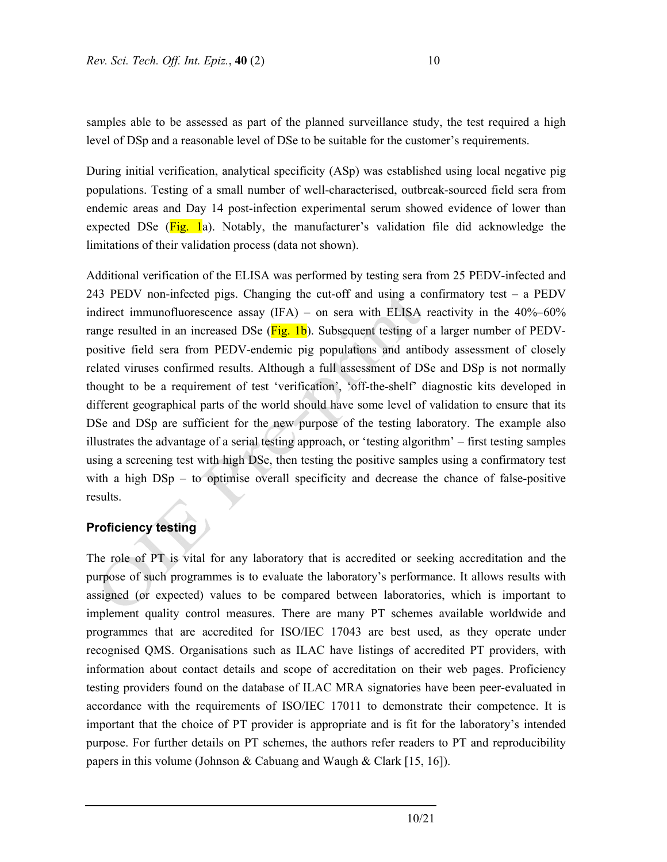samples able to be assessed as part of the planned surveillance study, the test required a high level of DSp and a reasonable level of DSe to be suitable for the customer's requirements.

During initial verification, analytical specificity (ASp) was established using local negative pig populations. Testing of a small number of well-characterised, outbreak-sourced field sera from endemic areas and Day 14 post-infection experimental serum showed evidence of lower than expected DSe  $(Fig. 1a)$ . Notably, the manufacturer's validation file did acknowledge the limitations of their validation process (data not shown).

Additional verification of the ELISA was performed by testing sera from 25 PEDV-infected and 243 PEDV non-infected pigs. Changing the cut-off and using a confirmatory test – a PEDV indirect immunofluorescence assay  $(IFA)$  – on sera with ELISA reactivity in the 40%–60% range resulted in an increased DSe  $(Fig. 1b)$ . Subsequent testing of a larger number of PEDVpositive field sera from PEDV-endemic pig populations and antibody assessment of closely related viruses confirmed results. Although a full assessment of DSe and DSp is not normally thought to be a requirement of test 'verification', 'off-the-shelf' diagnostic kits developed in different geographical parts of the world should have some level of validation to ensure that its DSe and DSp are sufficient for the new purpose of the testing laboratory. The example also illustrates the advantage of a serial testing approach, or 'testing algorithm' – first testing samples using a screening test with high DSe, then testing the positive samples using a confirmatory test with a high DSp – to optimise overall specificity and decrease the chance of false-positive results.

# **Proficiency testing**

The role of PT is vital for any laboratory that is accredited or seeking accreditation and the purpose of such programmes is to evaluate the laboratory's performance. It allows results with assigned (or expected) values to be compared between laboratories, which is important to implement quality control measures. There are many PT schemes available worldwide and programmes that are accredited for ISO/IEC 17043 are best used, as they operate under recognised QMS. Organisations such as ILAC have listings of accredited PT providers, with information about contact details and scope of accreditation on their web pages. Proficiency testing providers found on the database of ILAC MRA signatories have been peer-evaluated in accordance with the requirements of ISO/IEC 17011 to demonstrate their competence. It is important that the choice of PT provider is appropriate and is fit for the laboratory's intended purpose. For further details on PT schemes, the authors refer readers to PT and reproducibility papers in this volume (Johnson & Cabuang and Waugh & Clark [15, 16]).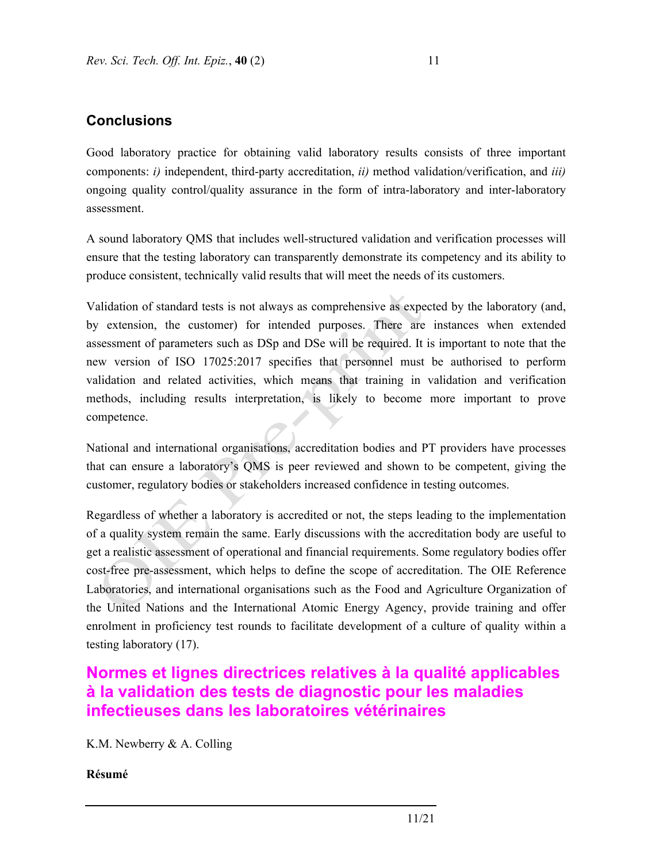# **Conclusions**

Good laboratory practice for obtaining valid laboratory results consists of three important components: *i)* independent, third-party accreditation, *ii)* method validation/verification, and *iii)* ongoing quality control/quality assurance in the form of intra-laboratory and inter-laboratory assessment.

A sound laboratory QMS that includes well-structured validation and verification processes will ensure that the testing laboratory can transparently demonstrate its competency and its ability to produce consistent, technically valid results that will meet the needs of its customers.

Validation of standard tests is not always as comprehensive as expected by the laboratory (and, by extension, the customer) for intended purposes. There are instances when extended assessment of parameters such as DSp and DSe will be required. It is important to note that the new version of ISO 17025:2017 specifies that personnel must be authorised to perform validation and related activities, which means that training in validation and verification methods, including results interpretation, is likely to become more important to prove competence.

National and international organisations, accreditation bodies and PT providers have processes that can ensure a laboratory's QMS is peer reviewed and shown to be competent, giving the customer, regulatory bodies or stakeholders increased confidence in testing outcomes.

Regardless of whether a laboratory is accredited or not, the steps leading to the implementation of a quality system remain the same. Early discussions with the accreditation body are useful to get a realistic assessment of operational and financial requirements. Some regulatory bodies offer cost-free pre-assessment, which helps to define the scope of accreditation. The OIE Reference Laboratories, and international organisations such as the Food and Agriculture Organization of the United Nations and the International Atomic Energy Agency, provide training and offer enrolment in proficiency test rounds to facilitate development of a culture of quality within a testing laboratory (17).

# **Normes et lignes directrices relatives à la qualité applicables à la validation des tests de diagnostic pour les maladies infectieuses dans les laboratoires vétérinaires**

K.M. Newberry & A. Colling

## **Résumé**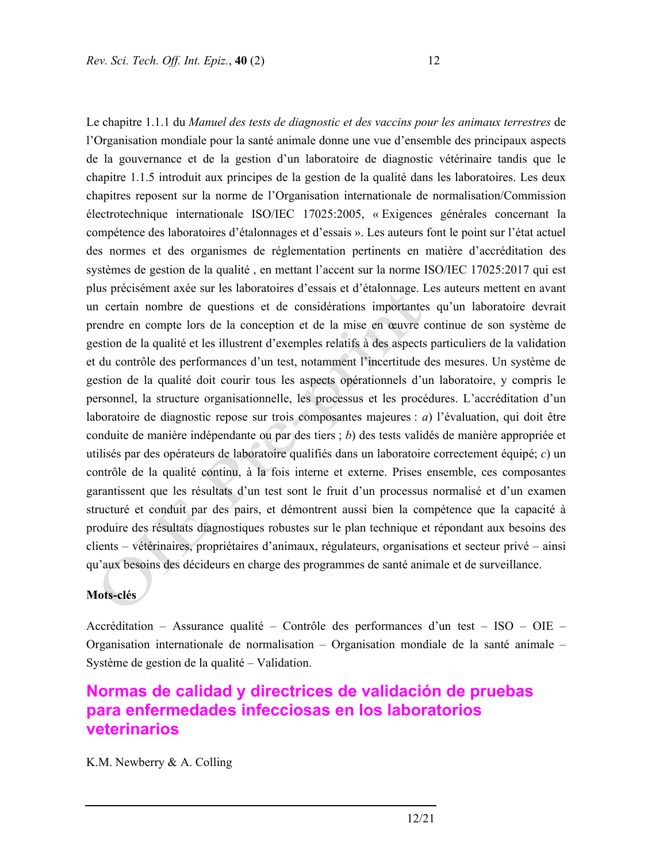Le chapitre 1.1.1 du *Manuel des tests de diagnostic et des vaccins pour les animaux terrestres* de l'Organisation mondiale pour la santé animale donne une vue d'ensemble des principaux aspects de la gouvernance et de la gestion d'un laboratoire de diagnostic vétérinaire tandis que le chapitre 1.1.5 introduit aux principes de la gestion de la qualité dans les laboratoires. Les deux chapitres reposent sur la norme de l'Organisation internationale de normalisation/Commission électrotechnique internationale ISO/IEC 17025:2005, « Exigences générales concernant la compétence des laboratoires d'étalonnages et d'essais ». Les auteurs font le point sur l'état actuel des normes et des organismes de réglementation pertinents en matière d'accréditation des systèmes de gestion de la qualité , en mettant l'accent sur la norme ISO/IEC 17025:2017 qui est plus précisément axée sur les laboratoires d'essais et d'étalonnage. Les auteurs mettent en avant un certain nombre de questions et de considérations importantes qu'un laboratoire devrait prendre en compte lors de la conception et de la mise en œuvre continue de son système de gestion de la qualité et les illustrent d'exemples relatifs à des aspects particuliers de la validation et du contrôle des performances d'un test, notamment l'incertitude des mesures. Un système de gestion de la qualité doit courir tous les aspects opérationnels d'un laboratoire, y compris le personnel, la structure organisationnelle, les processus et les procédures. L'accréditation d'un laboratoire de diagnostic repose sur trois composantes majeures : *a*) l'évaluation, qui doit être conduite de manière indépendante ou par des tiers ; *b*) des tests validés de manière appropriée et utilisés par des opérateurs de laboratoire qualifiés dans un laboratoire correctement équipé; *c*) un contrôle de la qualité continu, à la fois interne et externe. Prises ensemble, ces composantes garantissent que les résultats d'un test sont le fruit d'un processus normalisé et d'un examen structuré et conduit par des pairs, et démontrent aussi bien la compétence que la capacité à produire des résultats diagnostiques robustes sur le plan technique et répondant aux besoins des clients – vétérinaires, propriétaires d'animaux, régulateurs, organisations et secteur privé – ainsi qu'aux besoins des décideurs en charge des programmes de santé animale et de surveillance.

### **Mots-clés**

Accréditation – Assurance qualité – Contrôle des performances d'un test – ISO – OIE – Organisation internationale de normalisation – Organisation mondiale de la santé animale – Système de gestion de la qualité – Validation.

# **Normas de calidad y directrices de validación de pruebas para enfermedades infecciosas en los laboratorios veterinarios**

K.M. Newberry & A. Colling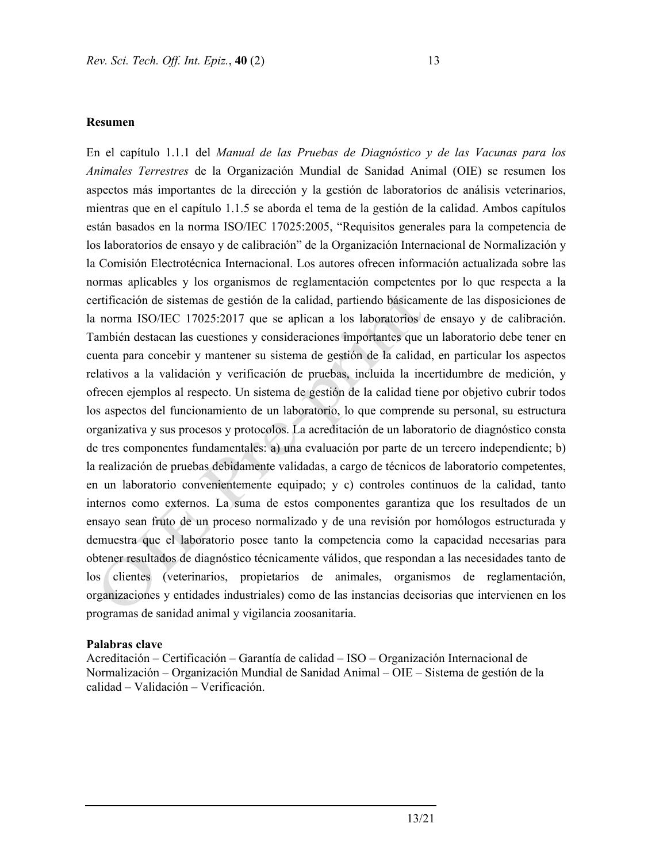### **Resumen**

En el capítulo 1.1.1 del *Manual de las Pruebas de Diagnóstico y de las Vacunas para los Animales Terrestres* de la Organización Mundial de Sanidad Animal (OIE) se resumen los aspectos más importantes de la dirección y la gestión de laboratorios de análisis veterinarios, mientras que en el capítulo 1.1.5 se aborda el tema de la gestión de la calidad. Ambos capítulos están basados en la norma ISO/IEC 17025:2005, "Requisitos generales para la competencia de los laboratorios de ensayo y de calibración" de la Organización Internacional de Normalización y la Comisión Electrotécnica Internacional. Los autores ofrecen información actualizada sobre las normas aplicables y los organismos de reglamentación competentes por lo que respecta a la certificación de sistemas de gestión de la calidad, partiendo básicamente de las disposiciones de la norma ISO/IEC 17025:2017 que se aplican a los laboratorios de ensayo y de calibración. También destacan las cuestiones y consideraciones importantes que un laboratorio debe tener en cuenta para concebir y mantener su sistema de gestión de la calidad, en particular los aspectos relativos a la validación y verificación de pruebas, incluida la incertidumbre de medición, y ofrecen ejemplos al respecto. Un sistema de gestión de la calidad tiene por objetivo cubrir todos los aspectos del funcionamiento de un laboratorio, lo que comprende su personal, su estructura organizativa y sus procesos y protocolos. La acreditación de un laboratorio de diagnóstico consta de tres componentes fundamentales: a) una evaluación por parte de un tercero independiente; b) la realización de pruebas debidamente validadas, a cargo de técnicos de laboratorio competentes, en un laboratorio convenientemente equipado; y c) controles continuos de la calidad, tanto internos como externos. La suma de estos componentes garantiza que los resultados de un ensayo sean fruto de un proceso normalizado y de una revisión por homólogos estructurada y demuestra que el laboratorio posee tanto la competencia como la capacidad necesarias para obtener resultados de diagnóstico técnicamente válidos, que respondan a las necesidades tanto de los clientes (veterinarios, propietarios de animales, organismos de reglamentación, organizaciones y entidades industriales) como de las instancias decisorias que intervienen en los programas de sanidad animal y vigilancia zoosanitaria.

#### **Palabras clave**

Acreditación – Certificación – Garantía de calidad – ISO – Organización Internacional de Normalización – Organización Mundial de Sanidad Animal – OIE – Sistema de gestión de la calidad – Validación – Verificación.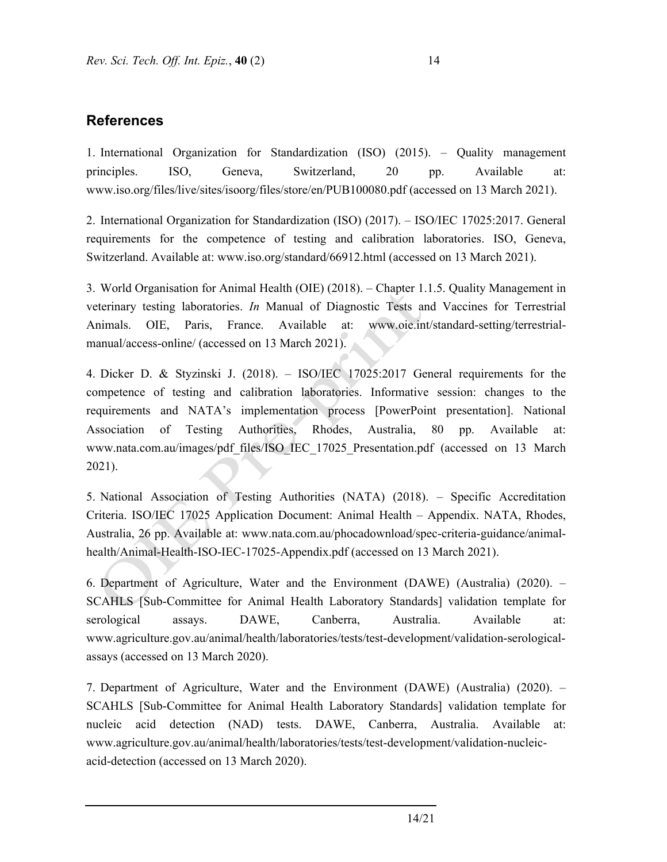1. International Organization for Standardization (ISO) (2015). – Quality management principles. ISO, Geneva, Switzerland, 20 pp. Available at: www.iso.org/files/live/sites/isoorg/files/store/en/PUB100080.pdf (accessed on 13 March 2021).

2. International Organization for Standardization (ISO) (2017). – ISO/IEC 17025:2017. General requirements for the competence of testing and calibration laboratories. ISO, Geneva, Switzerland. Available at: www.iso.org/standard/66912.html (accessed on 13 March 2021).

3. World Organisation for Animal Health (OIE) (2018). – Chapter 1.1.5. Quality Management in veterinary testing laboratories. *In* Manual of Diagnostic Tests and Vaccines for Terrestrial Animals. OIE, Paris, France. Available at: www.oie.int/standard-setting/terrestrialmanual/access-online/ (accessed on 13 March 2021).

4. Dicker D. & Styzinski J. (2018). – ISO/IEC 17025:2017 General requirements for the competence of testing and calibration laboratories. Informative session: changes to the requirements and NATA's implementation process [PowerPoint presentation]. National Association of Testing Authorities, Rhodes, Australia, 80 pp. Available at: www.nata.com.au/images/pdf\_files/ISO\_IEC\_17025\_Presentation.pdf (accessed on 13 March 2021).

5. National Association of Testing Authorities (NATA) (2018). – Specific Accreditation Criteria. ISO/IEC 17025 Application Document: Animal Health – Appendix. NATA, Rhodes, Australia, 26 pp. Available at: www.nata.com.au/phocadownload/spec-criteria-guidance/animalhealth/Animal-Health-ISO-IEC-17025-Appendix.pdf (accessed on 13 March 2021).

6. Department of Agriculture, Water and the Environment (DAWE) (Australia) (2020). – SCAHLS [Sub-Committee for Animal Health Laboratory Standards] validation template for serological assays. DAWE, Canberra, Australia. Available at: www.agriculture.gov.au/animal/health/laboratories/tests/test-development/validation-serologicalassays (accessed on 13 March 2020).

7. Department of Agriculture, Water and the Environment (DAWE) (Australia) (2020). – SCAHLS [Sub-Committee for Animal Health Laboratory Standards] validation template for nucleic acid detection (NAD) tests. DAWE, Canberra, Australia. Available at: www.agriculture.gov.au/animal/health/laboratories/tests/test-development/validation-nucleicacid-detection (accessed on 13 March 2020).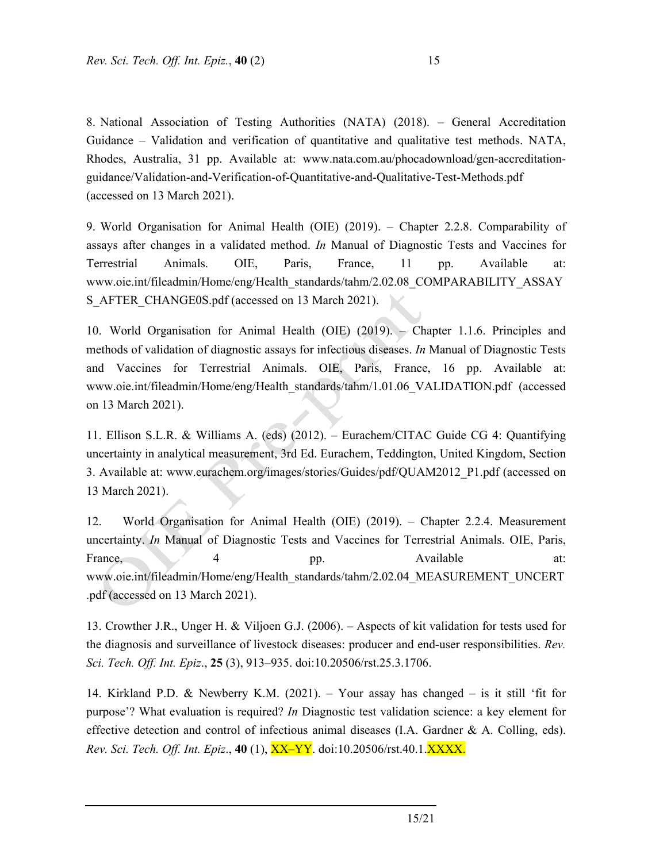8. National Association of Testing Authorities (NATA) (2018). – General Accreditation Guidance – Validation and verification of quantitative and qualitative test methods. NATA, Rhodes, Australia, 31 pp. Available at: www.nata.com.au/phocadownload/gen-accreditationguidance/Validation-and-Verification-of-Quantitative-and-Qualitative-Test-Methods.pdf (accessed on 13 March 2021).

9. World Organisation for Animal Health (OIE) (2019). – Chapter 2.2.8. Comparability of assays after changes in a validated method. *In* Manual of Diagnostic Tests and Vaccines for Terrestrial Animals. OIE, Paris, France, 11 pp. Available at: www.oie.int/fileadmin/Home/eng/Health\_standards/tahm/2.02.08\_COMPARABILITY\_ASSAY S AFTER CHANGE0S.pdf (accessed on 13 March 2021).

10. World Organisation for Animal Health (OIE) (2019). – Chapter 1.1.6. Principles and methods of validation of diagnostic assays for infectious diseases. *In* Manual of Diagnostic Tests and Vaccines for Terrestrial Animals. OIE, Paris, France, 16 pp. Available at: www.oie.int/fileadmin/Home/eng/Health\_standards/tahm/1.01.06\_VALIDATION.pdf (accessed on 13 March 2021).

11. Ellison S.L.R. & Williams A. (eds) (2012). – Eurachem/CITAC Guide CG 4: Quantifying uncertainty in analytical measurement, 3rd Ed. Eurachem, Teddington, United Kingdom, Section 3. Available at: www.eurachem.org/images/stories/Guides/pdf/QUAM2012\_P1.pdf (accessed on 13 March 2021).

12. World Organisation for Animal Health (OIE) (2019). – Chapter 2.2.4. Measurement uncertainty. *In* Manual of Diagnostic Tests and Vaccines for Terrestrial Animals. OIE, Paris, France, 4 pp. Available at: www.oie.int/fileadmin/Home/eng/Health\_standards/tahm/2.02.04\_MEASUREMENT\_UNCERT .pdf (accessed on 13 March 2021).

13. Crowther J.R., Unger H. & Viljoen G.J. (2006). – Aspects of kit validation for tests used for the diagnosis and surveillance of livestock diseases: producer and end-user responsibilities. *Rev. Sci. Tech. Off. Int. Epiz*., **25** (3), 913–935. doi:10.20506/rst.25.3.1706.

14. Kirkland P.D. & Newberry K.M. (2021). – Your assay has changed – is it still 'fit for purpose'? What evaluation is required? *In* Diagnostic test validation science: a key element for effective detection and control of infectious animal diseases (I.A. Gardner & A. Colling, eds). *Rev. Sci. Tech. Off. Int. Epiz*., **40** (1), XX–YY. doi:10.20506/rst.40.1.XXXX.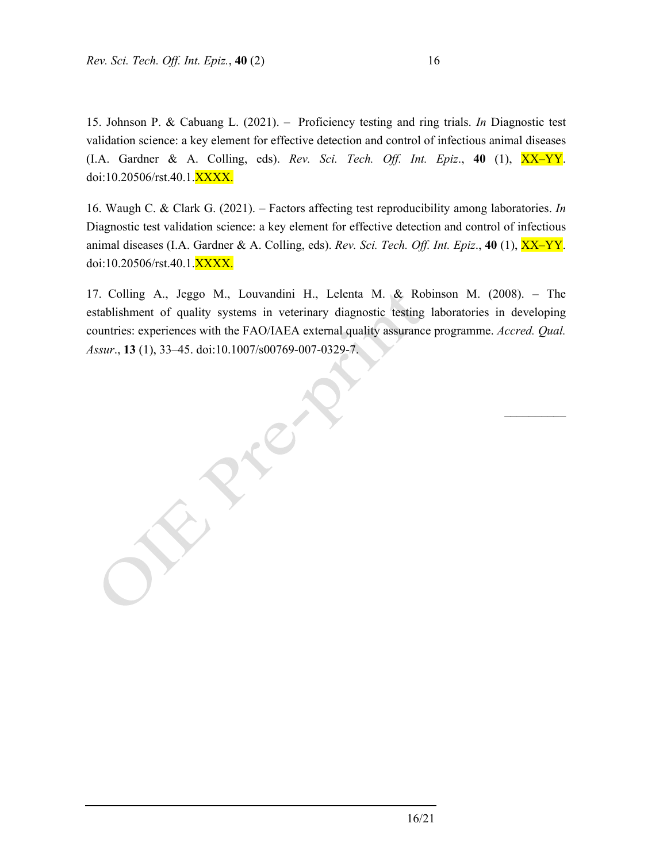15. Johnson P. & Cabuang L. (2021). – Proficiency testing and ring trials. *In* Diagnostic test validation science: a key element for effective detection and control of infectious animal diseases (I.A. Gardner & A. Colling, eds). *Rev. Sci. Tech. Off. Int. Epiz*., **40** (1), XX–YY. doi:10.20506/rst.40.1.XXXX.

16. Waugh C. & Clark G. (2021). – Factors affecting test reproducibility among laboratories. *In* Diagnostic test validation science: a key element for effective detection and control of infectious animal diseases (I.A. Gardner & A. Colling, eds). *Rev. Sci. Tech. Off. Int. Epiz*., **40** (1), XX–YY. doi:10.20506/rst.40.1.XXXX.

17. Colling A., Jeggo M., Louvandini H., Lelenta M. & Robinson M. (2008). – The establishment of quality systems in veterinary diagnostic testing laboratories in developing countries: experiences with the FAO/IAEA external quality assurance programme. *Accred. Qual. Assur*., **13** (1), 33–45. doi:10.1007/s00769-007-0329-7.

 $\frac{1}{2}$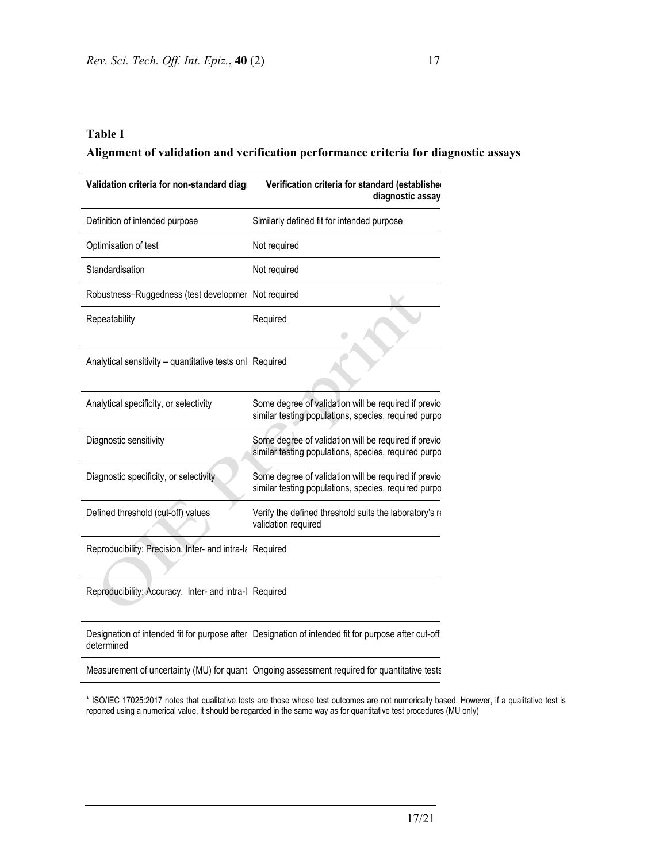### **Table I**

### **Alignment of validation and verification performance criteria for diagnostic assays**

| Validation criteria for non-standard diagi               | Verification criteria for standard (establishe<br>diagnostic assay                                           |
|----------------------------------------------------------|--------------------------------------------------------------------------------------------------------------|
| Definition of intended purpose                           | Similarly defined fit for intended purpose                                                                   |
| Optimisation of test                                     | Not required                                                                                                 |
| Standardisation                                          | Not required                                                                                                 |
| Robustness-Ruggedness (test developmer Not required      |                                                                                                              |
| Repeatability                                            | Required                                                                                                     |
|                                                          |                                                                                                              |
| Analytical sensitivity - quantitative tests onl Required |                                                                                                              |
| Analytical specificity, or selectivity                   | Some degree of validation will be required if previo<br>similar testing populations, species, required purpo |
| Diagnostic sensitivity                                   | Some degree of validation will be required if previo<br>similar testing populations, species, required purpo |
| Diagnostic specificity, or selectivity                   | Some degree of validation will be required if previo<br>similar testing populations, species, required purpo |
| Defined threshold (cut-off) values                       | Verify the defined threshold suits the laboratory's re-<br>validation required                               |
| Reproducibility: Precision. Inter- and intra-la Required |                                                                                                              |

Reproducibility: Accuracy. Inter- and intra-l Required

Designation of intended fit for purpose after Designation of intended fit for purpose after cut-off determined

Measurement of uncertainty (MU) for quant Ongoing assessment required for quantitative tests

\* ISO/IEC 17025:2017 notes that qualitative tests are those whose test outcomes are not numerically based. However, if a qualitative test is reported using a numerical value, it should be regarded in the same way as for quantitative test procedures (MU only)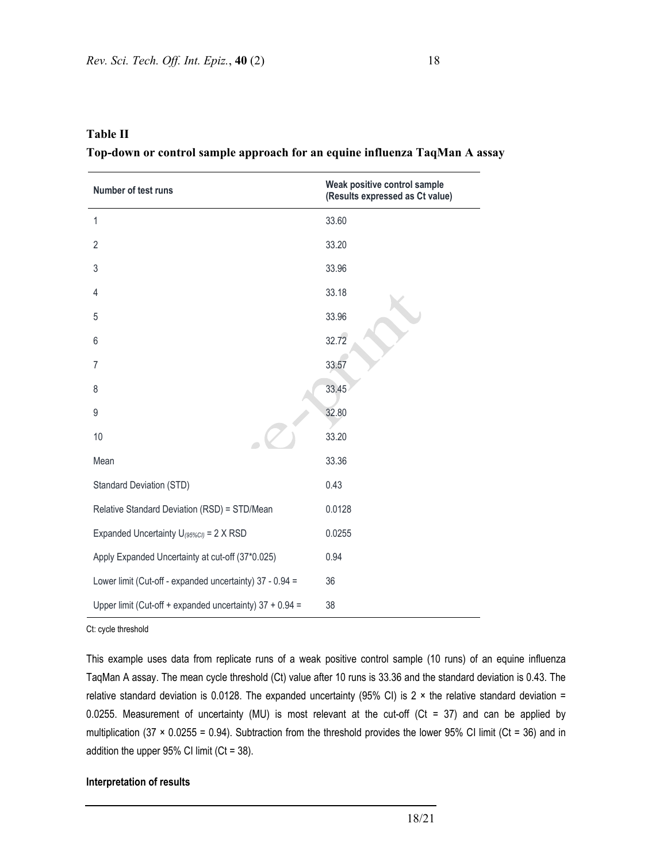| `able_ |  |
|--------|--|
|--------|--|

### **Top-down or control sample approach for an equine influenza TaqMan A assay**

| Number of test runs                                      | Weak positive control sample<br>(Results expressed as Ct value) |
|----------------------------------------------------------|-----------------------------------------------------------------|
| 1                                                        | 33.60                                                           |
| 2                                                        | 33.20                                                           |
| 3                                                        | 33.96                                                           |
| 4                                                        | 33.18                                                           |
| 5                                                        | 33.96                                                           |
| 6                                                        | 32.72                                                           |
| 7                                                        | 33.57                                                           |
| 8                                                        | 33.45                                                           |
| 9                                                        | 32.80                                                           |
| 10                                                       | 33.20                                                           |
| Mean                                                     | 33.36                                                           |
| <b>Standard Deviation (STD)</b>                          | 0.43                                                            |
| Relative Standard Deviation (RSD) = STD/Mean             | 0.0128                                                          |
| Expanded Uncertainty $U_{(95\%Cl)} = 2 \times RSD$       | 0.0255                                                          |
| Apply Expanded Uncertainty at cut-off (37*0.025)         | 0.94                                                            |
| Lower limit (Cut-off - expanded uncertainty) 37 - 0.94 = | 36                                                              |
| Upper limit (Cut-off + expanded uncertainty) 37 + 0.94 = | 38                                                              |

Ct: cycle threshold

This example uses data from replicate runs of a weak positive control sample (10 runs) of an equine influenza TaqMan A assay. The mean cycle threshold (Ct) value after 10 runs is 33.36 and the standard deviation is 0.43. The relative standard deviation is 0.0128. The expanded uncertainty (95% CI) is 2  $\times$  the relative standard deviation = 0.0255. Measurement of uncertainty (MU) is most relevant at the cut-off (Ct = 37) and can be applied by multiplication (37 × 0.0255 = 0.94). Subtraction from the threshold provides the lower 95% CI limit (Ct = 36) and in addition the upper  $95\%$  CI limit (Ct = 38).

#### **Interpretation of results**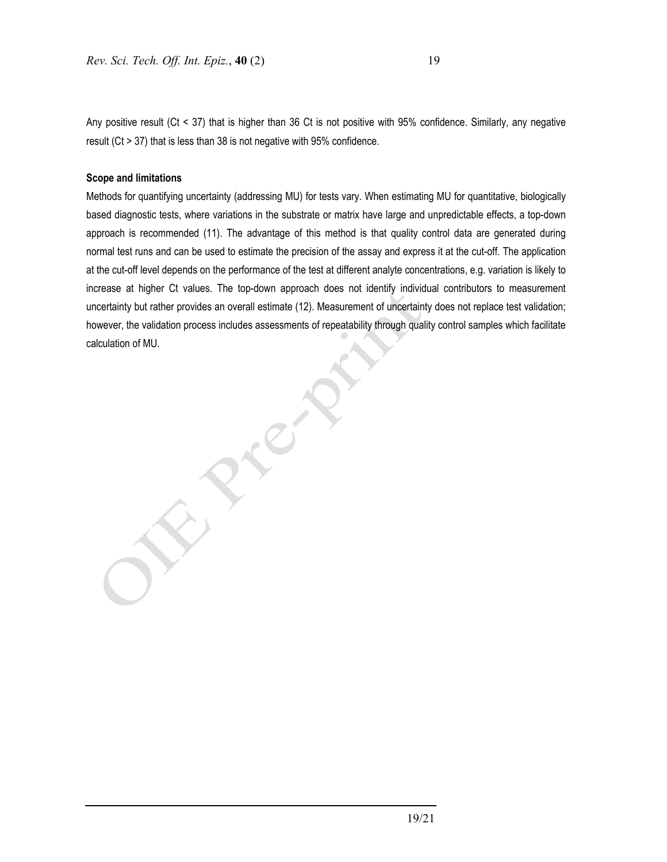Any positive result (Ct < 37) that is higher than 36 Ct is not positive with 95% confidence. Similarly, any negative result (Ct > 37) that is less than 38 is not negative with 95% confidence.

#### **Scope and limitations**

Methods for quantifying uncertainty (addressing MU) for tests vary. When estimating MU for quantitative, biologically based diagnostic tests, where variations in the substrate or matrix have large and unpredictable effects, a top-down approach is recommended (11). The advantage of this method is that quality control data are generated during normal test runs and can be used to estimate the precision of the assay and express it at the cut-off. The application at the cut-off level depends on the performance of the test at different analyte concentrations, e.g. variation is likely to increase at higher Ct values. The top-down approach does not identify individual contributors to measurement uncertainty but rather provides an overall estimate (12). Measurement of uncertainty does not replace test validation; however, the validation process includes assessments of repeatability through quality control samples which facilitate calculation of MU.

19/21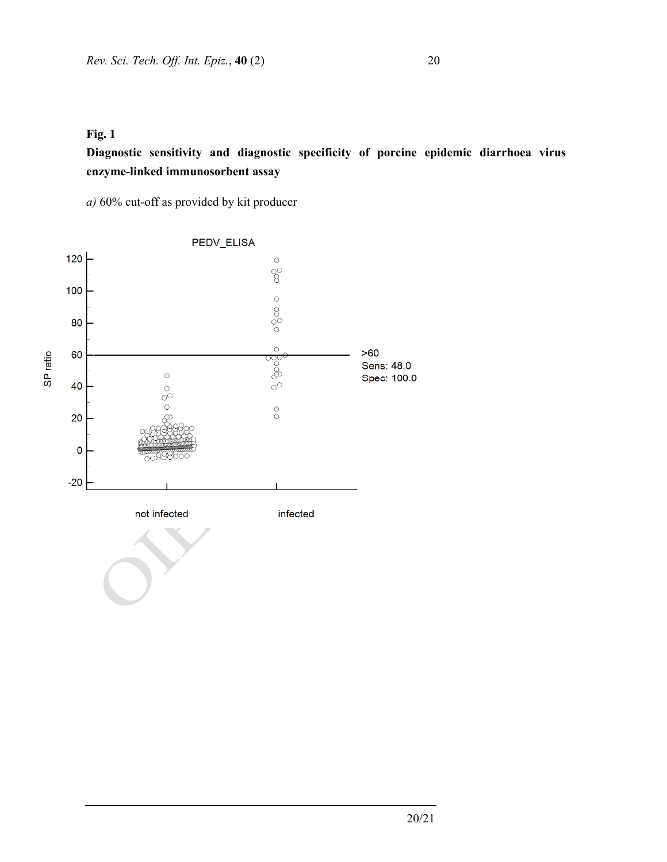# **Fig. 1**

**Diagnostic sensitivity and diagnostic specificity of porcine epidemic diarrhoea virus enzyme-linked immunosorbent assay** 

*a)* 60% cut-off as provided by kit producer